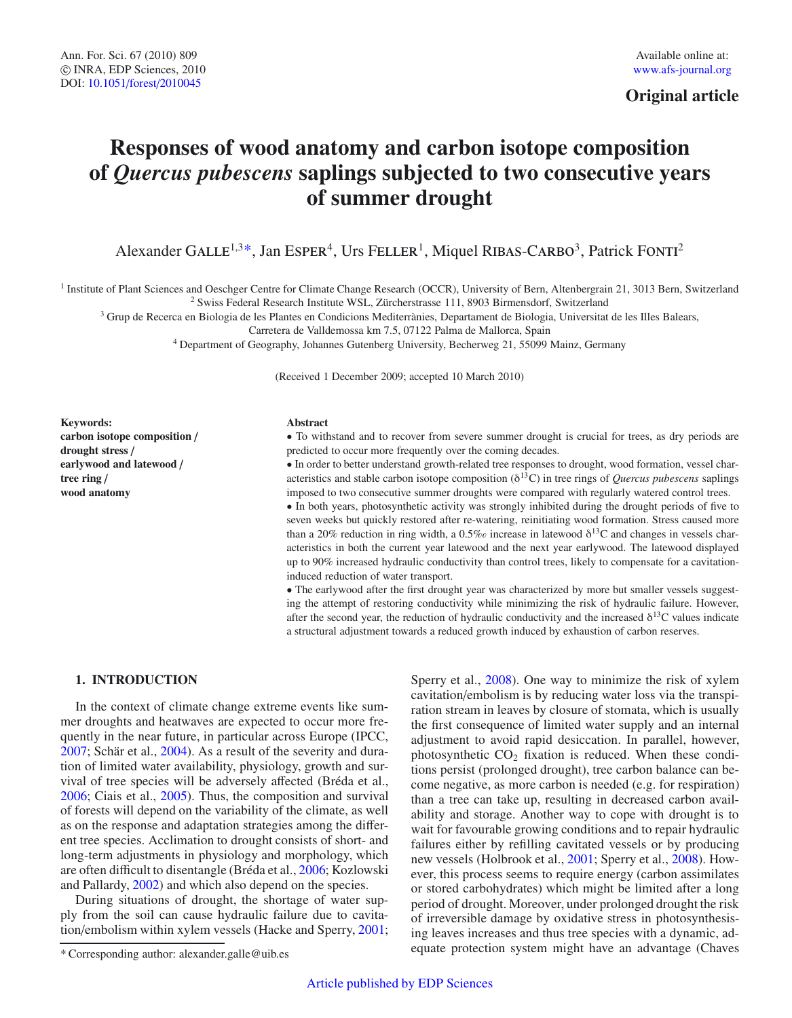**Original article**

# **Responses of wood anatomy and carbon isotope composition of** *Quercus pubescens* **saplings subjected to two consecutive years of summer drought**

Alexander GALLE<sup>1,3\*</sup>, Jan ESPER<sup>4</sup>, Urs FELLER<sup>1</sup>, Miquel RIBAS-CARBO<sup>3</sup>, Patrick FONTI<sup>2</sup>

<sup>1</sup> Institute of Plant Sciences and Oeschger Centre for Climate Change Research (OCCR), University of Bern, Altenbergrain 21, 3013 Bern, Switzerland

<sup>2</sup> Swiss Federal Research Institute WSL, Zürcherstrasse 111, 8903 Birmensdorf, Switzerland

<sup>3</sup> Grup de Recerca en Biologia de les Plantes en Condicions Mediterrànies, Departament de Biologia, Universitat de les Illes Balears,

Carretera de Valldemossa km 7.5, 07122 Palma de Mallorca, Spain

<sup>4</sup> Department of Geography, Johannes Gutenberg University, Becherweg 21, 55099 Mainz, Germany

(Received 1 December 2009; accepted 10 March 2010)

**Keywords: carbon isotope composition** / **drought stress** / **earlywood and latewood** / **tree ring** / **wood anatomy**

#### **Abstract**

• To withstand and to recover from severe summer drought is crucial for trees, as dry periods are predicted to occur more frequently over the coming decades.

• In order to better understand growth-related tree responses to drought, wood formation, vessel characteristics and stable carbon isotope composition  $(\delta^{13}C)$  in tree rings of *Quercus pubescens* saplings imposed to two consecutive summer droughts were compared with regularly watered control trees.

• In both years, photosynthetic activity was strongly inhibited during the drought periods of five to seven weeks but quickly restored after re-watering, reinitiating wood formation. Stress caused more than a 20% reduction in ring width, a 0.5% increase in latewood  $\delta^{13}$ C and changes in vessels characteristics in both the current year latewood and the next year earlywood. The latewood displayed up to 90% increased hydraulic conductivity than control trees, likely to compensate for a cavitationinduced reduction of water transport.

• The earlywood after the first drought year was characterized by more but smaller vessels suggesting the attempt of restoring conductivity while minimizing the risk of hydraulic failure. However, after the second year, the reduction of hydraulic conductivity and the increased  $\delta^{13}$ C values indicate a structural adjustment towards a reduced growth induced by exhaustion of carbon reserves.

## **1. INTRODUCTION**

In the context of climate change extreme events like summer droughts and heatwaves are expected to occur more frequently in the near future, in particular across Europe (IPCC, [2007;](#page-6-0) Schär et al., [2004\)](#page-7-0). As a result of the severity and duration of limited water availability, physiology, growth and survival of tree species will be adversely affected (Bréda et al., [2006;](#page-6-1) Ciais et al., [2005\)](#page-6-2). Thus, the composition and survival of forests will depend on the variability of the climate, as well as on the response and adaptation strategies among the different tree species. Acclimation to drought consists of short- and long-term adjustments in physiology and morphology, which are often difficult to disentangle (Bréda et al., [2006;](#page-6-1) Kozlowski and Pallardy, [2002\)](#page-6-3) and which also depend on the species.

During situations of drought, the shortage of water supply from the soil can cause hydraulic failure due to cavitation/embolism within xylem vessels (Hacke and Sperry, [2001;](#page-6-4)

Sperry et al., [2008\)](#page-7-1). One way to minimize the risk of xylem cavitation/embolism is by reducing water loss via the transpiration stream in leaves by closure of stomata, which is usually the first consequence of limited water supply and an internal adjustment to avoid rapid desiccation. In parallel, however, photosynthetic  $CO<sub>2</sub>$  fixation is reduced. When these conditions persist (prolonged drought), tree carbon balance can become negative, as more carbon is needed (e.g. for respiration) than a tree can take up, resulting in decreased carbon availability and storage. Another way to cope with drought is to wait for favourable growing conditions and to repair hydraulic failures either by refilling cavitated vessels or by producing new vessels (Holbrook et al., [2001;](#page-6-5) Sperry et al., [2008\)](#page-7-1). However, this process seems to require energy (carbon assimilates or stored carbohydrates) which might be limited after a long period of drought. Moreover, under prolonged drought the risk of irreversible damage by oxidative stress in photosynthesising leaves increases and thus tree species with a dynamic, adequate protection system might have an advantage (Chaves

<sup>\*</sup> Corresponding author: alexander.galle@uib.es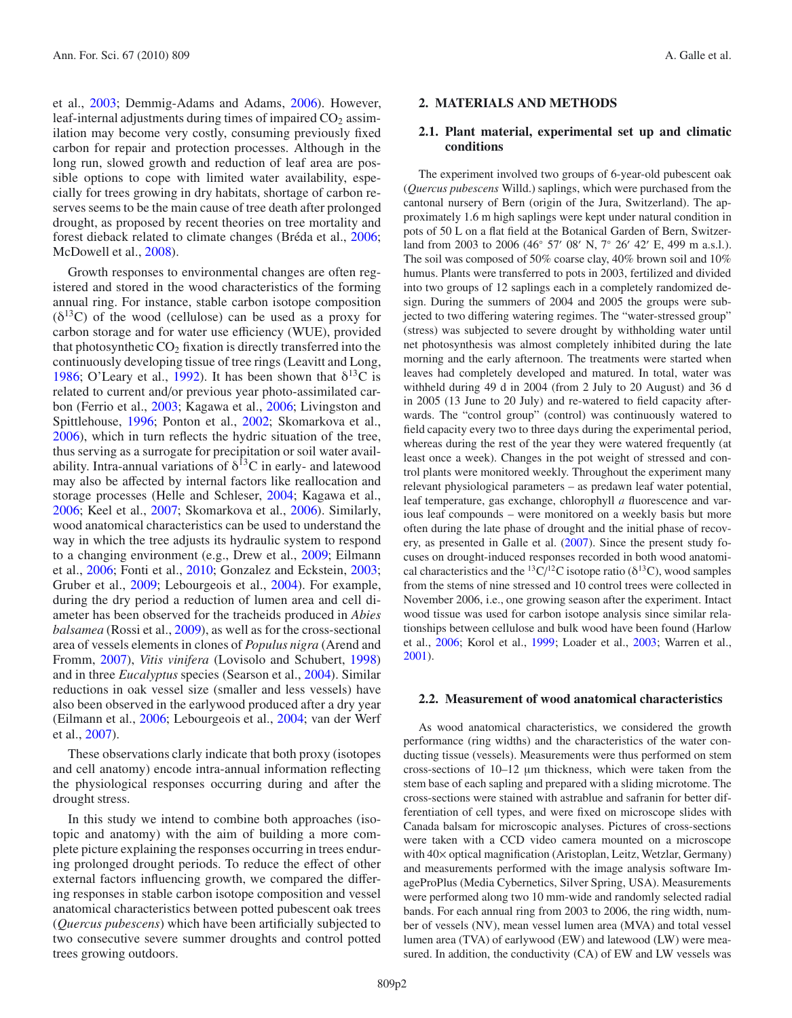et al., [2003;](#page-6-6) Demmig-Adams and Adams, [2006\)](#page-6-7). However, leaf-internal adjustments during times of impaired  $CO<sub>2</sub>$  assimilation may become very costly, consuming previously fixed carbon for repair and protection processes. Although in the long run, slowed growth and reduction of leaf area are possible options to cope with limited water availability, especially for trees growing in dry habitats, shortage of carbon reserves seems to be the main cause of tree death after prolonged drought, as proposed by recent theories on tree mortality and forest dieback related to climate changes (Bréda et al., [2006;](#page-6-1) McDowell et al., [2008\)](#page-7-2).

Growth responses to environmental changes are often registered and stored in the wood characteristics of the forming annual ring. For instance, stable carbon isotope composition  $(\delta^{13}C)$  of the wood (cellulose) can be used as a proxy for carbon storage and for water use efficiency (WUE), provided that photosynthetic  $CO<sub>2</sub>$  fixation is directly transferred into the continuously developing tissue of tree rings (Leavitt and Long, [1986;](#page-6-8) O'Leary et al., [1992](#page-7-3)). It has been shown that  $\delta^{13}C$  is related to current and/or previous year photo-assimilated carbon (Ferrio et al., [2003;](#page-6-9) Kagawa et al., [2006](#page-6-10); Livingston and Spittlehouse, [1996;](#page-6-11) Ponton et al., [2002](#page-7-4); Skomarkova et al., [2006\)](#page-7-5), which in turn reflects the hydric situation of the tree, thus serving as a surrogate for precipitation or soil water availability. Intra-annual variations of  $\delta^{13}$ C in early- and latewood may also be affected by internal factors like reallocation and storage processes (Helle and Schleser, [2004;](#page-6-12) Kagawa et al., [2006;](#page-6-10) Keel et al., [2007;](#page-6-13) Skomarkova et al., [2006\)](#page-7-5). Similarly, wood anatomical characteristics can be used to understand the way in which the tree adjusts its hydraulic system to respond to a changing environment (e.g., Drew et al., [2009;](#page-6-14) Eilmann et al., [2006](#page-6-15); Fonti et al., [2010](#page-6-16); Gonzalez and Eckstein, [2003;](#page-6-17) Gruber et al., [2009;](#page-6-18) Lebourgeois et al., [2004\)](#page-6-19). For example, during the dry period a reduction of lumen area and cell diameter has been observed for the tracheids produced in *Abies balsamea* (Rossi et al., [2009](#page-7-6)), as well as for the cross-sectional area of vessels elements in clones of *Populus nigra* (Arend and Fromm, [2007\)](#page-6-20), *Vitis vinifera* (Lovisolo and Schubert, [1998](#page-7-7)) and in three *Eucalyptus* species (Searson et al., [2004\)](#page-7-8). Similar reductions in oak vessel size (smaller and less vessels) have also been observed in the earlywood produced after a dry year (Eilmann et al., [2006;](#page-6-15) Lebourgeois et al., [2004;](#page-6-19) van der Werf et al., [2007](#page-7-9)).

These observations clarly indicate that both proxy (isotopes and cell anatomy) encode intra-annual information reflecting the physiological responses occurring during and after the drought stress.

In this study we intend to combine both approaches (isotopic and anatomy) with the aim of building a more complete picture explaining the responses occurring in trees enduring prolonged drought periods. To reduce the effect of other external factors influencing growth, we compared the differing responses in stable carbon isotope composition and vessel anatomical characteristics between potted pubescent oak trees (*Quercus pubescens*) which have been artificially subjected to two consecutive severe summer droughts and control potted trees growing outdoors.

## **2. MATERIALS AND METHODS**

## **2.1. Plant material, experimental set up and climatic conditions**

The experiment involved two groups of 6-year-old pubescent oak (*Quercus pubescens* Willd.) saplings, which were purchased from the cantonal nursery of Bern (origin of the Jura, Switzerland). The approximately 1.6 m high saplings were kept under natural condition in pots of 50 L on a flat field at the Botanical Garden of Bern, Switzerland from 2003 to 2006 (46° 57' 08' N, 7° 26' 42' E, 499 m a.s.l.). The soil was composed of 50% coarse clay, 40% brown soil and 10% humus. Plants were transferred to pots in 2003, fertilized and divided into two groups of 12 saplings each in a completely randomized design. During the summers of 2004 and 2005 the groups were subjected to two differing watering regimes. The "water-stressed group" (stress) was subjected to severe drought by withholding water until net photosynthesis was almost completely inhibited during the late morning and the early afternoon. The treatments were started when leaves had completely developed and matured. In total, water was withheld during 49 d in 2004 (from 2 July to 20 August) and 36 d in 2005 (13 June to 20 July) and re-watered to field capacity afterwards. The "control group" (control) was continuously watered to field capacity every two to three days during the experimental period, whereas during the rest of the year they were watered frequently (at least once a week). Changes in the pot weight of stressed and control plants were monitored weekly. Throughout the experiment many relevant physiological parameters – as predawn leaf water potential, leaf temperature, gas exchange, chlorophyll *a* fluorescence and various leaf compounds – were monitored on a weekly basis but more often during the late phase of drought and the initial phase of recovery, as presented in Galle et al. [\(2007](#page-6-21)). Since the present study focuses on drought-induced responses recorded in both wood anatomical characteristics and the <sup>13</sup>C/<sup>12</sup>C isotope ratio ( $\delta$ <sup>13</sup>C), wood samples from the stems of nine stressed and 10 control trees were collected in November 2006, i.e., one growing season after the experiment. Intact wood tissue was used for carbon isotope analysis since similar relationships between cellulose and bulk wood have been found (Harlow et al., [2006](#page-6-22); Korol et al., [1999](#page-6-23); Loader et al., [2003;](#page-7-10) Warren et al., [2001](#page-7-11)).

#### **2.2. Measurement of wood anatomical characteristics**

As wood anatomical characteristics, we considered the growth performance (ring widths) and the characteristics of the water conducting tissue (vessels). Measurements were thus performed on stem cross-sections of 10–12 μm thickness, which were taken from the stem base of each sapling and prepared with a sliding microtome. The cross-sections were stained with astrablue and safranin for better differentiation of cell types, and were fixed on microscope slides with Canada balsam for microscopic analyses. Pictures of cross-sections were taken with a CCD video camera mounted on a microscope with 40× optical magnification (Aristoplan, Leitz, Wetzlar, Germany) and measurements performed with the image analysis software ImageProPlus (Media Cybernetics, Silver Spring, USA). Measurements were performed along two 10 mm-wide and randomly selected radial bands. For each annual ring from 2003 to 2006, the ring width, number of vessels (NV), mean vessel lumen area (MVA) and total vessel lumen area (TVA) of earlywood (EW) and latewood (LW) were measured. In addition, the conductivity (CA) of EW and LW vessels was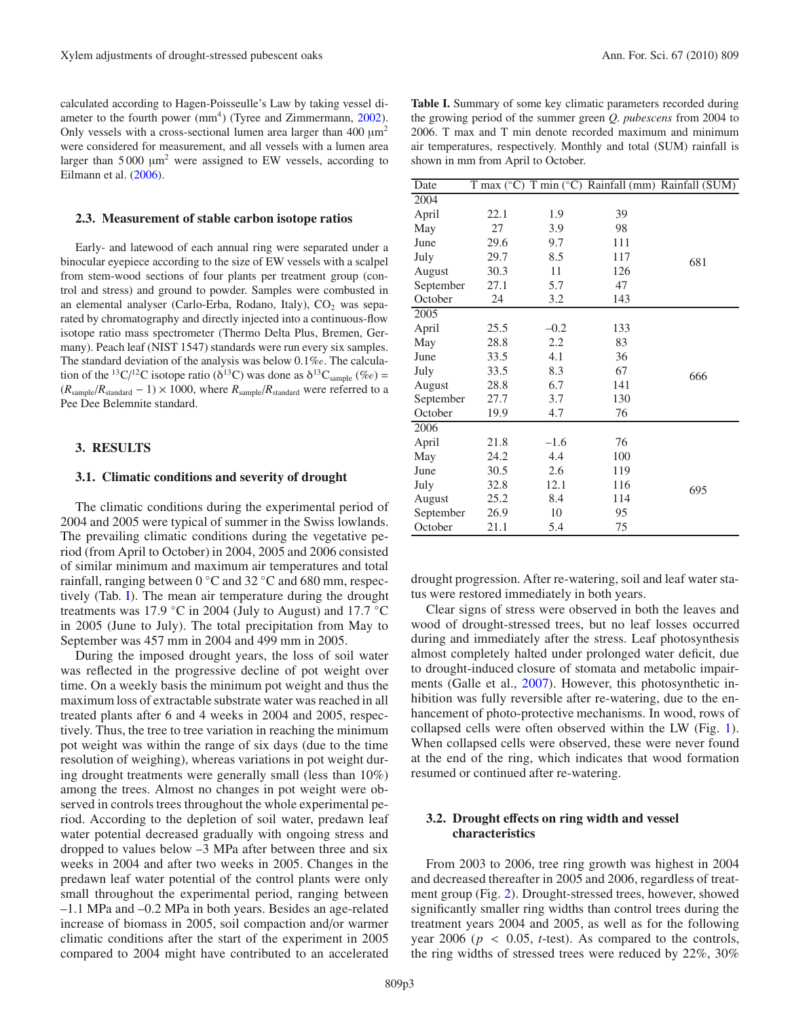calculated according to Hagen-Poisseulle's Law by taking vessel diameter to the fourth power  $(mm<sup>4</sup>)$  (Tyree and Zimmermann, [2002\)](#page-7-12). Only vessels with a cross-sectional lumen area larger than 400 μm2 were considered for measurement, and all vessels with a lumen area larger than 5 000 μm2 were assigned to EW vessels, according to Eilmann et al. [\(2006](#page-6-15)).

#### **2.3. Measurement of stable carbon isotope ratios**

Early- and latewood of each annual ring were separated under a binocular eyepiece according to the size of EW vessels with a scalpel from stem-wood sections of four plants per treatment group (control and stress) and ground to powder. Samples were combusted in an elemental analyser (Carlo-Erba, Rodano, Italy),  $CO<sub>2</sub>$  was separated by chromatography and directly injected into a continuous-flow isotope ratio mass spectrometer (Thermo Delta Plus, Bremen, Germany). Peach leaf (NIST 1547) standards were run every six samples. The standard deviation of the analysis was below  $0.1\%$ . The calculation of the <sup>13</sup>C/<sup>12</sup>C isotope ratio ( $\delta^{13}$ C) was done as  $\delta^{13}C_{\text{sample}}$  (%e) =  $(R_{sample}/R_{standard} - 1) \times 1000$ , where  $R_{sample}/R_{standard}$  were referred to a Pee Dee Belemnite standard.

#### **3. RESULTS**

## **3.1. Climatic conditions and severity of drought**

The climatic conditions during the experimental period of 2004 and 2005 were typical of summer in the Swiss lowlands. The prevailing climatic conditions during the vegetative period (from April to October) in 2004, 2005 and 2006 consisted of similar minimum and maximum air temperatures and total rainfall, ranging between 0 ◦C and 32 ◦C and 680 mm, respectively (Tab. [I\)](#page-2-0). The mean air temperature during the drought treatments was 17.9 °C in 2004 (July to August) and 17.7 °C in 2005 (June to July). The total precipitation from May to September was 457 mm in 2004 and 499 mm in 2005.

During the imposed drought years, the loss of soil water was reflected in the progressive decline of pot weight over time. On a weekly basis the minimum pot weight and thus the maximum loss of extractable substrate water was reached in all treated plants after 6 and 4 weeks in 2004 and 2005, respectively. Thus, the tree to tree variation in reaching the minimum pot weight was within the range of six days (due to the time resolution of weighing), whereas variations in pot weight during drought treatments were generally small (less than 10%) among the trees. Almost no changes in pot weight were observed in controls trees throughout the whole experimental period. According to the depletion of soil water, predawn leaf water potential decreased gradually with ongoing stress and dropped to values below –3 MPa after between three and six weeks in 2004 and after two weeks in 2005. Changes in the predawn leaf water potential of the control plants were only small throughout the experimental period, ranging between –1.1 MPa and –0.2 MPa in both years. Besides an age-related increase of biomass in 2005, soil compaction and/or warmer climatic conditions after the start of the experiment in 2005 compared to 2004 might have contributed to an accelerated

<span id="page-2-0"></span>

| <b>Table I.</b> Summary of some key climatic parameters recorded during |
|-------------------------------------------------------------------------|
| the growing period of the summer green <i>O. pubescens</i> from 2004 to |
| 2006. T max and T min denote recorded maximum and minimum               |
| air temperatures, respectively. Monthly and total (SUM) rainfall is     |
| shown in mm from April to October.                                      |

| Date      |      |        |     | T max (°C) T min (°C) Rainfall (mm) Rainfall (SUM) |
|-----------|------|--------|-----|----------------------------------------------------|
| 2004      |      |        |     |                                                    |
| April     | 22.1 | 1.9    | 39  |                                                    |
| May       | 27   | 3.9    | 98  |                                                    |
| June      | 29.6 | 9.7    | 111 |                                                    |
| July      | 29.7 | 8.5    | 117 | 681                                                |
| August    | 30.3 | 11     | 126 |                                                    |
| September | 27.1 | 5.7    | 47  |                                                    |
| October   | 24   | 3.2    | 143 |                                                    |
| 2005      |      |        |     |                                                    |
| April     | 25.5 | $-0.2$ | 133 |                                                    |
| May       | 28.8 | 2.2    | 83  |                                                    |
| June      | 33.5 | 4.1    | 36  |                                                    |
| July      | 33.5 | 8.3    | 67  | 666                                                |
| August    | 28.8 | 6.7    | 141 |                                                    |
| September | 27.7 | 3.7    | 130 |                                                    |
| October   | 19.9 | 4.7    | 76  |                                                    |
| 2006      |      |        |     |                                                    |
| April     | 21.8 | $-1.6$ | 76  |                                                    |
| May       | 24.2 | 4.4    | 100 |                                                    |
| June      | 30.5 | 2.6    | 119 |                                                    |
| July      | 32.8 | 12.1   | 116 | 695                                                |
| August    | 25.2 | 8.4    | 114 |                                                    |
| September | 26.9 | 10     | 95  |                                                    |
| October   | 21.1 | 5.4    | 75  |                                                    |

drought progression. After re-watering, soil and leaf water status were restored immediately in both years.

Clear signs of stress were observed in both the leaves and wood of drought-stressed trees, but no leaf losses occurred during and immediately after the stress. Leaf photosynthesis almost completely halted under prolonged water deficit, due to drought-induced closure of stomata and metabolic impair-ments (Galle et al., [2007\)](#page-6-21). However, this photosynthetic inhibition was fully reversible after re-watering, due to the enhancement of photo-protective mechanisms. In wood, rows of collapsed cells were often observed within the LW (Fig. [1\)](#page-3-0). When collapsed cells were observed, these were never found at the end of the ring, which indicates that wood formation resumed or continued after re-watering.

## **3.2. Drought e**ff**ects on ring width and vessel characteristics**

From 2003 to 2006, tree ring growth was highest in 2004 and decreased thereafter in 2005 and 2006, regardless of treatment group (Fig. [2\)](#page-3-1). Drought-stressed trees, however, showed significantly smaller ring widths than control trees during the treatment years 2004 and 2005, as well as for the following year 2006 ( $p < 0.05$ , *t*-test). As compared to the controls, the ring widths of stressed trees were reduced by 22%, 30%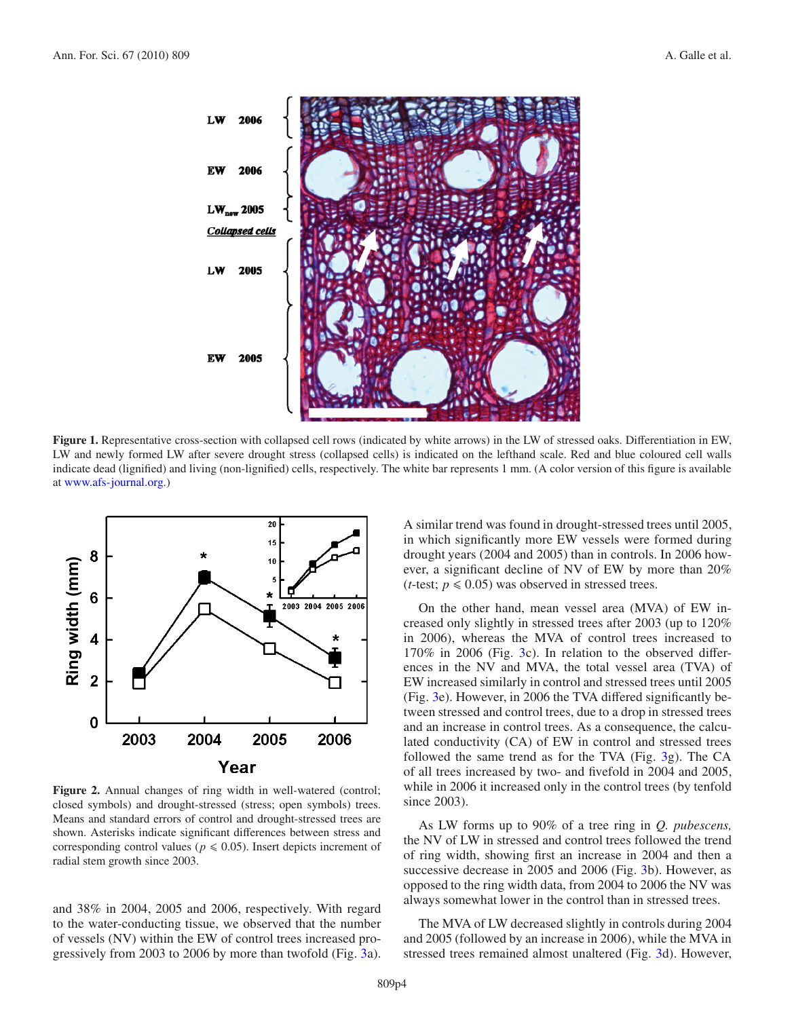

<span id="page-3-0"></span>**Figure 1.** Representative cross-section with collapsed cell rows (indicated by white arrows) in the LW of stressed oaks. Differentiation in EW, LW and newly formed LW after severe drought stress (collapsed cells) is indicated on the lefthand scale. Red and blue coloured cell walls indicate dead (lignified) and living (non-lignified) cells, respectively. The white bar represents 1 mm. (A color version of this figure is available at [www.afs-journal.org.](www.afs-journal.org))

<span id="page-3-1"></span>

Figure 2. Annual changes of ring width in well-watered (control; closed symbols) and drought-stressed (stress; open symbols) trees. Means and standard errors of control and drought-stressed trees are shown. Asterisks indicate significant differences between stress and corresponding control values ( $p \le 0.05$ ). Insert depicts increment of radial stem growth since 2003.

and 38% in 2004, 2005 and 2006, respectively. With regard to the water-conducting tissue, we observed that the number of vessels (NV) within the EW of control trees increased progressively from 2003 to 2006 by more than twofold (Fig. [3a](#page-4-0)). A similar trend was found in drought-stressed trees until 2005, in which significantly more EW vessels were formed during drought years (2004 and 2005) than in controls. In 2006 however, a significant decline of NV of EW by more than 20% (*t*-test;  $p \le 0.05$ ) was observed in stressed trees.

On the other hand, mean vessel area (MVA) of EW increased only slightly in stressed trees after 2003 (up to 120% in 2006), whereas the MVA of control trees increased to 170% in 2006 (Fig. [3c](#page-4-0)). In relation to the observed differences in the NV and MVA, the total vessel area (TVA) of EW increased similarly in control and stressed trees until 2005 (Fig. [3e](#page-4-0)). However, in 2006 the TVA differed significantly between stressed and control trees, due to a drop in stressed trees and an increase in control trees. As a consequence, the calculated conductivity (CA) of EW in control and stressed trees followed the same trend as for the TVA (Fig. [3g](#page-4-0)). The CA of all trees increased by two- and fivefold in 2004 and 2005, while in 2006 it increased only in the control trees (by tenfold since 2003).

As LW forms up to 90% of a tree ring in *Q. pubescens,* the NV of LW in stressed and control trees followed the trend of ring width, showing first an increase in 2004 and then a successive decrease in 2005 and 2006 (Fig. [3b](#page-4-0)). However, as opposed to the ring width data, from 2004 to 2006 the NV was always somewhat lower in the control than in stressed trees.

The MVA of LW decreased slightly in controls during 2004 and 2005 (followed by an increase in 2006), while the MVA in stressed trees remained almost unaltered (Fig. [3d](#page-4-0)). However,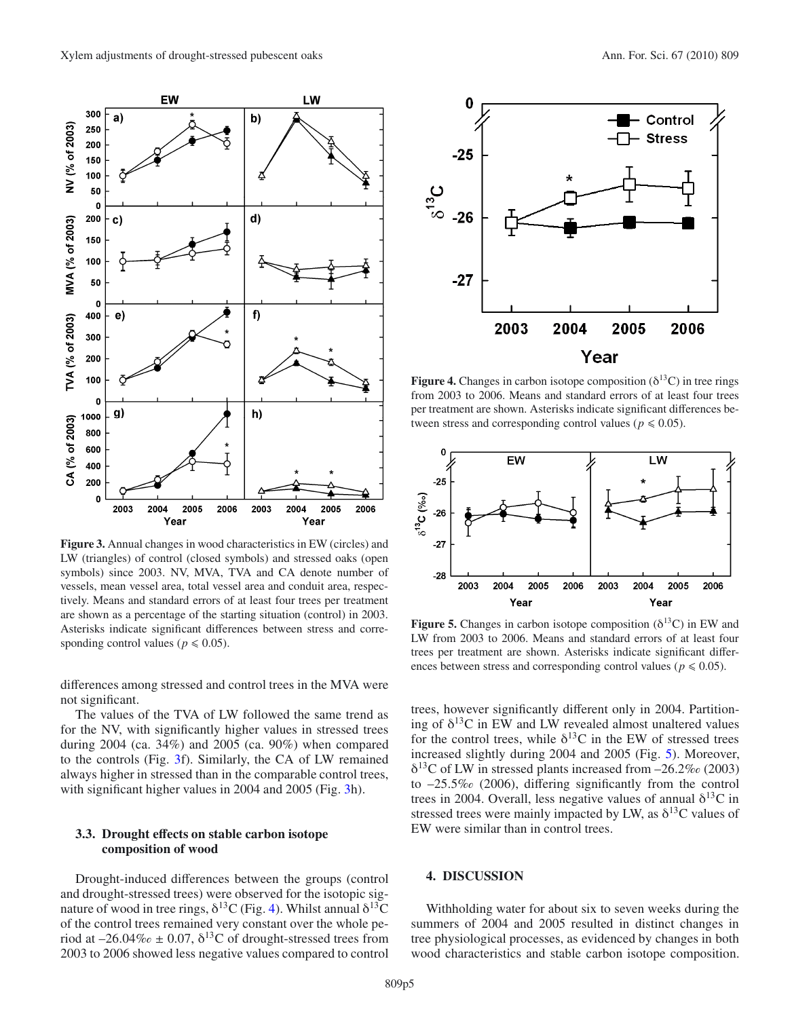

<span id="page-4-0"></span>**Figure 3.** Annual changes in wood characteristics in EW (circles) and LW (triangles) of control (closed symbols) and stressed oaks (open symbols) since 2003. NV, MVA, TVA and CA denote number of vessels, mean vessel area, total vessel area and conduit area, respectively. Means and standard errors of at least four trees per treatment are shown as a percentage of the starting situation (control) in 2003. Asterisks indicate significant differences between stress and corresponding control values ( $p \le 0.05$ ).

differences among stressed and control trees in the MVA were not significant.

The values of the TVA of LW followed the same trend as for the NV, with significantly higher values in stressed trees during 2004 (ca. 34%) and 2005 (ca. 90%) when compared to the controls (Fig. [3f](#page-4-0)). Similarly, the CA of LW remained always higher in stressed than in the comparable control trees, with significant higher values in 2004 and 2005 (Fig. [3h](#page-4-0)).

## **3.3. Drought e**ff**ects on stable carbon isotope composition of wood**

Drought-induced differences between the groups (control and drought-stressed trees) were observed for the isotopic signature of wood in tree rings,  $\delta^{13}$ C (Fig. [4\)](#page-4-1). Whilst annual  $\delta^{13}$ C of the control trees remained very constant over the whole period at  $-26.04\%$   $\leq$  0.07,  $\delta^{13}$ C of drought-stressed trees from 2003 to 2006 showed less negative values compared to control

<span id="page-4-1"></span>

**Figure 4.** Changes in carbon isotope composition  $(\delta^{13}C)$  in tree rings from 2003 to 2006. Means and standard errors of at least four trees per treatment are shown. Asterisks indicate significant differences between stress and corresponding control values ( $p \le 0.05$ ).

<span id="page-4-2"></span>

**Figure 5.** Changes in carbon isotope composition  $(\delta^{13}C)$  in EW and LW from 2003 to 2006. Means and standard errors of at least four trees per treatment are shown. Asterisks indicate significant differences between stress and corresponding control values ( $p \le 0.05$ ).

trees, however significantly different only in 2004. Partitioning of  $\delta^{13}$ C in EW and LW revealed almost unaltered values for the control trees, while  $\delta^{13}$ C in the EW of stressed trees increased slightly during 2004 and 2005 (Fig. [5\)](#page-4-2). Moreover,  $\delta^{13}$ C of LW in stressed plants increased from  $-26.2\%$  (2003) to  $-25.5\%$  (2006), differing significantly from the control trees in 2004. Overall, less negative values of annual  $\delta^{13}C$  in stressed trees were mainly impacted by LW, as  $\delta^{13}$ C values of EW were similar than in control trees.

# **4. DISCUSSION**

Withholding water for about six to seven weeks during the summers of 2004 and 2005 resulted in distinct changes in tree physiological processes, as evidenced by changes in both wood characteristics and stable carbon isotope composition.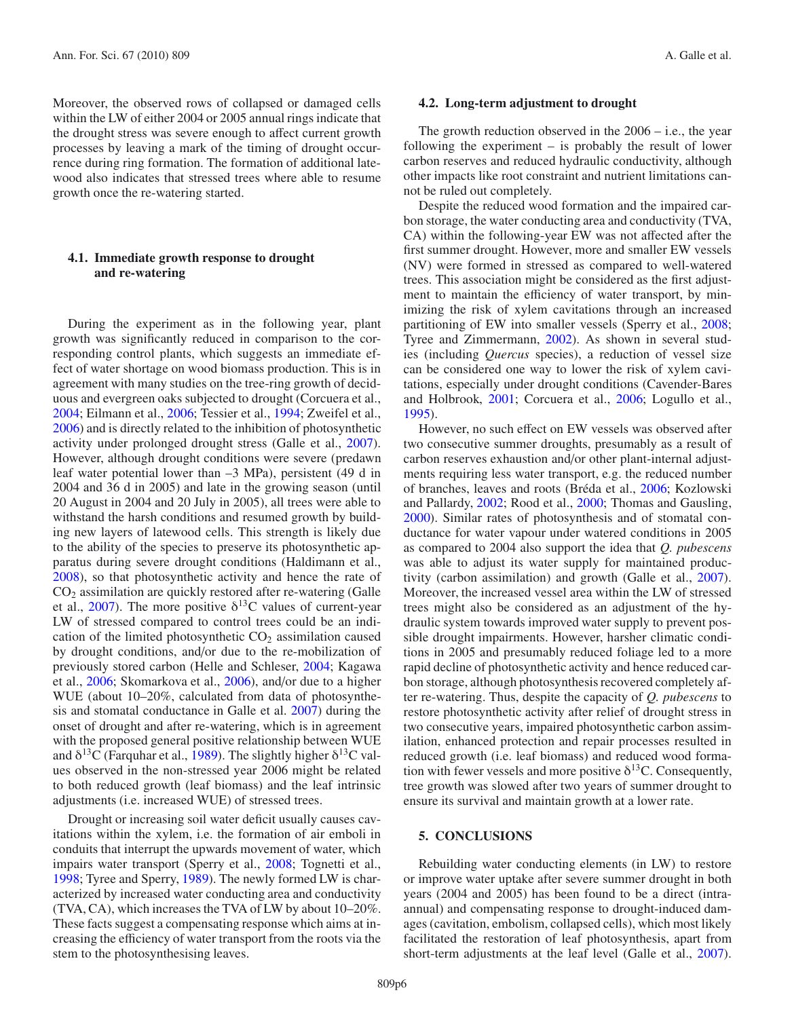Moreover, the observed rows of collapsed or damaged cells within the LW of either 2004 or 2005 annual rings indicate that the drought stress was severe enough to affect current growth processes by leaving a mark of the timing of drought occurrence during ring formation. The formation of additional latewood also indicates that stressed trees where able to resume growth once the re-watering started.

# **4.1. Immediate growth response to drought and re-watering**

During the experiment as in the following year, plant growth was significantly reduced in comparison to the corresponding control plants, which suggests an immediate effect of water shortage on wood biomass production. This is in agreement with many studies on the tree-ring growth of deciduous and evergreen oaks subjected to drought (Corcuera et al., [2004;](#page-6-24) Eilmann et al., [2006;](#page-6-15) Tessier et al., [1994;](#page-7-13) Zweifel et al., [2006\)](#page-7-14) and is directly related to the inhibition of photosynthetic activity under prolonged drought stress (Galle et al., [2007\)](#page-6-21). However, although drought conditions were severe (predawn leaf water potential lower than –3 MPa), persistent (49 d in 2004 and 36 d in 2005) and late in the growing season (until 20 August in 2004 and 20 July in 2005), all trees were able to withstand the harsh conditions and resumed growth by building new layers of latewood cells. This strength is likely due to the ability of the species to preserve its photosynthetic apparatus during severe drought conditions (Haldimann et al., [2008\)](#page-6-25), so that photosynthetic activity and hence the rate of CO2 assimilation are quickly restored after re-watering (Galle et al., [2007\)](#page-6-21). The more positive  $\delta^{13}$ C values of current-year LW of stressed compared to control trees could be an indication of the limited photosynthetic  $CO<sub>2</sub>$  assimilation caused by drought conditions, and/or due to the re-mobilization of previously stored carbon (Helle and Schleser, [2004;](#page-6-12) Kagawa et al., [2006;](#page-6-10) Skomarkova et al., [2006\)](#page-7-5), and/or due to a higher WUE (about 10–20%, calculated from data of photosynthesis and stomatal conductance in Galle et al. [2007\)](#page-6-21) during the onset of drought and after re-watering, which is in agreement with the proposed general positive relationship between WUE and  $\delta^{13}$ C (Farquhar et al., [1989\)](#page-6-26). The slightly higher  $\delta^{13}$ C values observed in the non-stressed year 2006 might be related to both reduced growth (leaf biomass) and the leaf intrinsic adjustments (i.e. increased WUE) of stressed trees.

Drought or increasing soil water deficit usually causes cavitations within the xylem, i.e. the formation of air emboli in conduits that interrupt the upwards movement of water, which impairs water transport (Sperry et al., [2008;](#page-7-1) Tognetti et al., [1998;](#page-7-15) Tyree and Sperry, [1989\)](#page-7-16). The newly formed LW is characterized by increased water conducting area and conductivity (TVA, CA), which increases the TVA of LW by about 10–20%. These facts suggest a compensating response which aims at increasing the efficiency of water transport from the roots via the stem to the photosynthesising leaves.

#### **4.2. Long-term adjustment to drought**

The growth reduction observed in the 2006 – i.e., the year following the experiment – is probably the result of lower carbon reserves and reduced hydraulic conductivity, although other impacts like root constraint and nutrient limitations cannot be ruled out completely.

Despite the reduced wood formation and the impaired carbon storage, the water conducting area and conductivity (TVA, CA) within the following-year EW was not affected after the first summer drought. However, more and smaller EW vessels (NV) were formed in stressed as compared to well-watered trees. This association might be considered as the first adjustment to maintain the efficiency of water transport, by minimizing the risk of xylem cavitations through an increased partitioning of EW into smaller vessels (Sperry et al., [2008;](#page-7-1) Tyree and Zimmermann, [2002](#page-7-12)). As shown in several studies (including *Quercus* species), a reduction of vessel size can be considered one way to lower the risk of xylem cavitations, especially under drought conditions (Cavender-Bares and Holbrook, [2001](#page-6-27); Corcuera et al., [2006](#page-6-28); Logullo et al., [1995\)](#page-7-17).

However, no such effect on EW vessels was observed after two consecutive summer droughts, presumably as a result of carbon reserves exhaustion and/or other plant-internal adjustments requiring less water transport, e.g. the reduced number of branches, leaves and roots (Bréda et al., [2006;](#page-6-1) Kozlowski and Pallardy, [2002;](#page-6-3) Rood et al., [2000;](#page-7-18) Thomas and Gausling, [2000\)](#page-7-19). Similar rates of photosynthesis and of stomatal conductance for water vapour under watered conditions in 2005 as compared to 2004 also support the idea that *Q. pubescens* was able to adjust its water supply for maintained productivity (carbon assimilation) and growth (Galle et al., [2007](#page-6-21)). Moreover, the increased vessel area within the LW of stressed trees might also be considered as an adjustment of the hydraulic system towards improved water supply to prevent possible drought impairments. However, harsher climatic conditions in 2005 and presumably reduced foliage led to a more rapid decline of photosynthetic activity and hence reduced carbon storage, although photosynthesis recovered completely after re-watering. Thus, despite the capacity of *Q. pubescens* to restore photosynthetic activity after relief of drought stress in two consecutive years, impaired photosynthetic carbon assimilation, enhanced protection and repair processes resulted in reduced growth (i.e. leaf biomass) and reduced wood formation with fewer vessels and more positive  $\delta^{13}$ C. Consequently, tree growth was slowed after two years of summer drought to ensure its survival and maintain growth at a lower rate.

## **5. CONCLUSIONS**

Rebuilding water conducting elements (in LW) to restore or improve water uptake after severe summer drought in both years (2004 and 2005) has been found to be a direct (intraannual) and compensating response to drought-induced damages (cavitation, embolism, collapsed cells), which most likely facilitated the restoration of leaf photosynthesis, apart from short-term adjustments at the leaf level (Galle et al., [2007](#page-6-21)).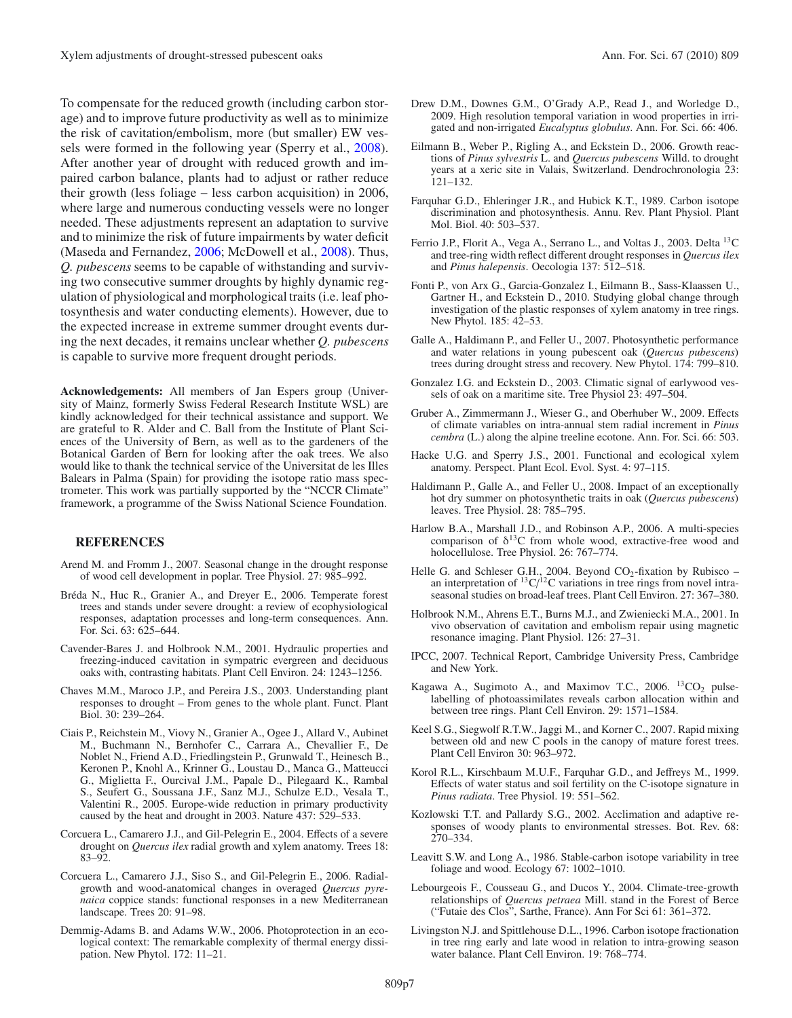To compensate for the reduced growth (including carbon storage) and to improve future productivity as well as to minimize the risk of cavitation/embolism, more (but smaller) EW vessels were formed in the following year (Sperry et al., [2008](#page-7-1)). After another year of drought with reduced growth and impaired carbon balance, plants had to adjust or rather reduce their growth (less foliage – less carbon acquisition) in 2006, where large and numerous conducting vessels were no longer needed. These adjustments represent an adaptation to survive and to minimize the risk of future impairments by water deficit (Maseda and Fernandez, [2006](#page-7-20); McDowell et al., [2008](#page-7-2)). Thus, *Q. pubescens* seems to be capable of withstanding and surviving two consecutive summer droughts by highly dynamic regulation of physiological and morphological traits (i.e. leaf photosynthesis and water conducting elements). However, due to the expected increase in extreme summer drought events during the next decades, it remains unclear whether *Q. pubescens* is capable to survive more frequent drought periods.

**Acknowledgements:** All members of Jan Espers group (University of Mainz, formerly Swiss Federal Research Institute WSL) are kindly acknowledged for their technical assistance and support. We are grateful to R. Alder and C. Ball from the Institute of Plant Sciences of the University of Bern, as well as to the gardeners of the Botanical Garden of Bern for looking after the oak trees. We also would like to thank the technical service of the Universitat de les Illes Balears in Palma (Spain) for providing the isotope ratio mass spectrometer. This work was partially supported by the "NCCR Climate" framework, a programme of the Swiss National Science Foundation.

## **REFERENCES**

- <span id="page-6-20"></span>Arend M. and Fromm J., 2007. Seasonal change in the drought response of wood cell development in poplar. Tree Physiol. 27: 985–992.
- <span id="page-6-1"></span>Bréda N., Huc R., Granier A., and Dreyer E., 2006. Temperate forest trees and stands under severe drought: a review of ecophysiological responses, adaptation processes and long-term consequences. Ann. For. Sci. 63: 625–644.
- <span id="page-6-27"></span>Cavender-Bares J. and Holbrook N.M., 2001. Hydraulic properties and freezing-induced cavitation in sympatric evergreen and deciduous oaks with, contrasting habitats. Plant Cell Environ. 24: 1243–1256.
- <span id="page-6-6"></span>Chaves M.M., Maroco J.P., and Pereira J.S., 2003. Understanding plant responses to drought – From genes to the whole plant. Funct. Plant Biol. 30: 239–264.
- <span id="page-6-2"></span>Ciais P., Reichstein M., Viovy N., Granier A., Ogee J., Allard V., Aubinet M., Buchmann N., Bernhofer C., Carrara A., Chevallier F., De Noblet N., Friend A.D., Friedlingstein P., Grunwald T., Heinesch B., Keronen P., Knohl A., Krinner G., Loustau D., Manca G., Matteucci G., Miglietta F., Ourcival J.M., Papale D., Pilegaard K., Rambal S., Seufert G., Soussana J.F., Sanz M.J., Schulze E.D., Vesala T., Valentini R., 2005. Europe-wide reduction in primary productivity caused by the heat and drought in 2003. Nature 437: 529–533.
- <span id="page-6-24"></span>Corcuera L., Camarero J.J., and Gil-Pelegrin E., 2004. Effects of a severe drought on *Quercus ilex* radial growth and xylem anatomy. Trees 18: 83–92.
- <span id="page-6-28"></span>Corcuera L., Camarero J.J., Siso S., and Gil-Pelegrin E., 2006. Radialgrowth and wood-anatomical changes in overaged *Quercus pyrenaica* coppice stands: functional responses in a new Mediterranean landscape. Trees 20: 91–98.
- <span id="page-6-7"></span>Demmig-Adams B. and Adams W.W., 2006. Photoprotection in an ecological context: The remarkable complexity of thermal energy dissipation. New Phytol. 172: 11–21.
- <span id="page-6-14"></span>Drew D.M., Downes G.M., O'Grady A.P., Read J., and Worledge D., 2009. High resolution temporal variation in wood properties in irrigated and non-irrigated *Eucalyptus globulus*. Ann. For. Sci. 66: 406.
- <span id="page-6-15"></span>Eilmann B., Weber P., Rigling A., and Eckstein D., 2006. Growth reactions of *Pinus sylvestris* L. and *Quercus pubescens* Willd. to drought years at a xeric site in Valais, Switzerland. Dendrochronologia 23: 121–132.
- <span id="page-6-26"></span>Farquhar G.D., Ehleringer J.R., and Hubick K.T., 1989. Carbon isotope discrimination and photosynthesis. Annu. Rev. Plant Physiol. Plant Mol. Biol. 40: 503–537.
- <span id="page-6-9"></span>Ferrio J.P., Florit A., Vega A., Serrano L., and Voltas J., 2003. Delta 13C and tree-ring width reflect different drought responses in *Quercus ilex* and *Pinus halepensis*. Oecologia 137: 512–518.
- <span id="page-6-16"></span>Fonti P., von Arx G., Garcia-Gonzalez I., Eilmann B., Sass-Klaassen U., Gartner H., and Eckstein D., 2010. Studying global change through investigation of the plastic responses of xylem anatomy in tree rings. New Phytol. 185: 42–53.
- <span id="page-6-21"></span>Galle A., Haldimann P., and Feller U., 2007. Photosynthetic performance and water relations in young pubescent oak (*Quercus pubescens*) trees during drought stress and recovery. New Phytol. 174: 799–810.
- <span id="page-6-17"></span>Gonzalez I.G. and Eckstein D., 2003. Climatic signal of earlywood vessels of oak on a maritime site. Tree Physiol 23: 497–504.
- <span id="page-6-18"></span>Gruber A., Zimmermann J., Wieser G., and Oberhuber W., 2009. Effects of climate variables on intra-annual stem radial increment in *Pinus cembra* (L.) along the alpine treeline ecotone. Ann. For. Sci. 66: 503.
- <span id="page-6-4"></span>Hacke U.G. and Sperry J.S., 2001. Functional and ecological xylem anatomy. Perspect. Plant Ecol. Evol. Syst. 4: 97–115.
- <span id="page-6-25"></span>Haldimann P., Galle A., and Feller U., 2008. Impact of an exceptionally hot dry summer on photosynthetic traits in oak (*Quercus pubescens*) leaves. Tree Physiol. 28: 785–795.
- <span id="page-6-22"></span>Harlow B.A., Marshall J.D., and Robinson A.P., 2006. A multi-species comparison of  $\delta^{13}C$  from whole wood, extractive-free wood and holocellulose. Tree Physiol. 26: 767–774.
- <span id="page-6-12"></span>Helle G. and Schleser G.H., 2004. Beyond CO<sub>2</sub>-fixation by Rubisco – an interpretation of <sup>13</sup>C/<sup>12</sup>C variations in tree rings from novel intraseasonal studies on broad-leaf trees. Plant Cell Environ. 27: 367–380.
- <span id="page-6-5"></span>Holbrook N.M., Ahrens E.T., Burns M.J., and Zwieniecki M.A., 2001. In vivo observation of cavitation and embolism repair using magnetic resonance imaging. Plant Physiol. 126: 27–31.
- <span id="page-6-0"></span>IPCC, 2007. Technical Report, Cambridge University Press, Cambridge and New York.
- <span id="page-6-10"></span>Kagawa A., Sugimoto A., and Maximov T.C., 2006.  ${}^{13}CO_2$  pulselabelling of photoassimilates reveals carbon allocation within and between tree rings. Plant Cell Environ. 29: 1571–1584.
- <span id="page-6-13"></span>Keel S.G., Siegwolf R.T.W., Jaggi M., and Korner C., 2007. Rapid mixing between old and new C pools in the canopy of mature forest trees. Plant Cell Environ 30: 963–972.
- <span id="page-6-23"></span>Korol R.L., Kirschbaum M.U.F., Farquhar G.D., and Jeffreys M., 1999. Effects of water status and soil fertility on the C-isotope signature in *Pinus radiata*. Tree Physiol. 19: 551–562.
- <span id="page-6-3"></span>Kozlowski T.T. and Pallardy S.G., 2002. Acclimation and adaptive responses of woody plants to environmental stresses. Bot. Rev. 68: 270–334.
- <span id="page-6-8"></span>Leavitt S.W. and Long A., 1986. Stable-carbon isotope variability in tree foliage and wood. Ecology 67: 1002–1010.
- <span id="page-6-19"></span>Lebourgeois F., Cousseau G., and Ducos Y., 2004. Climate-tree-growth relationships of *Quercus petraea* Mill. stand in the Forest of Berce ("Futaie des Clos", Sarthe, France). Ann For Sci 61: 361–372.
- <span id="page-6-11"></span>Livingston N.J. and Spittlehouse D.L., 1996. Carbon isotope fractionation in tree ring early and late wood in relation to intra-growing season water balance. Plant Cell Environ. 19: 768–774.